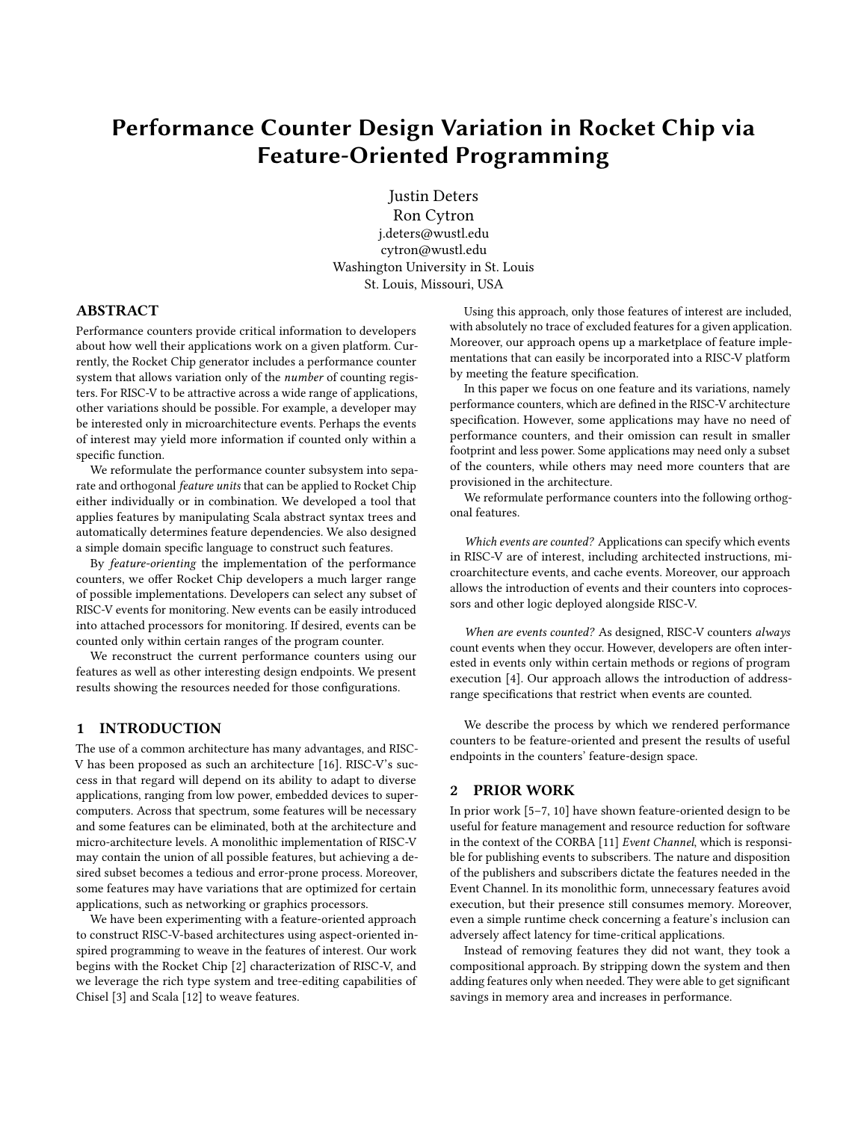# Performance Counter Design Variation in Rocket Chip via Feature-Oriented Programming

Justin Deters

Ron Cytron j.deters@wustl.edu cytron@wustl.edu Washington University in St. Louis St. Louis, Missouri, USA

# ABSTRACT

Performance counters provide critical information to developers about how well their applications work on a given platform. Currently, the Rocket Chip generator includes a performance counter system that allows variation only of the number of counting registers. For RISC-V to be attractive across a wide range of applications, other variations should be possible. For example, a developer may be interested only in microarchitecture events. Perhaps the events of interest may yield more information if counted only within a specific function.

We reformulate the performance counter subsystem into separate and orthogonal feature units that can be applied to Rocket Chip either individually or in combination. We developed a tool that applies features by manipulating Scala abstract syntax trees and automatically determines feature dependencies. We also designed a simple domain specific language to construct such features.

By feature-orienting the implementation of the performance counters, we offer Rocket Chip developers a much larger range of possible implementations. Developers can select any subset of RISC-V events for monitoring. New events can be easily introduced into attached processors for monitoring. If desired, events can be counted only within certain ranges of the program counter.

We reconstruct the current performance counters using our features as well as other interesting design endpoints. We present results showing the resources needed for those configurations.

# 1 INTRODUCTION

The use of a common architecture has many advantages, and RISC-V has been proposed as such an architecture [\[16\]](#page-4-0). RISC-V's success in that regard will depend on its ability to adapt to diverse applications, ranging from low power, embedded devices to supercomputers. Across that spectrum, some features will be necessary and some features can be eliminated, both at the architecture and micro-architecture levels. A monolithic implementation of RISC-V may contain the union of all possible features, but achieving a desired subset becomes a tedious and error-prone process. Moreover, some features may have variations that are optimized for certain applications, such as networking or graphics processors.

We have been experimenting with a feature-oriented approach to construct RISC-V-based architectures using aspect-oriented inspired programming to weave in the features of interest. Our work begins with the Rocket Chip [\[2\]](#page-4-1) characterization of RISC-V, and we leverage the rich type system and tree-editing capabilities of Chisel [\[3\]](#page-4-2) and Scala [\[12\]](#page-4-3) to weave features.

Using this approach, only those features of interest are included, with absolutely no trace of excluded features for a given application. Moreover, our approach opens up a marketplace of feature implementations that can easily be incorporated into a RISC-V platform by meeting the feature specification.

In this paper we focus on one feature and its variations, namely performance counters, which are defined in the RISC-V architecture specification. However, some applications may have no need of performance counters, and their omission can result in smaller footprint and less power. Some applications may need only a subset of the counters, while others may need more counters that are provisioned in the architecture.

We reformulate performance counters into the following orthogonal features.

Which events are counted? Applications can specify which events in RISC-V are of interest, including architected instructions, microarchitecture events, and cache events. Moreover, our approach allows the introduction of events and their counters into coprocessors and other logic deployed alongside RISC-V.

When are events counted? As designed, RISC-V counters always count events when they occur. However, developers are often interested in events only within certain methods or regions of program execution [\[4\]](#page-4-4). Our approach allows the introduction of addressrange specifications that restrict when events are counted.

We describe the process by which we rendered performance counters to be feature-oriented and present the results of useful endpoints in the counters' feature-design space.

#### 2 PRIOR WORK

In prior work [\[5](#page-4-5)[–7,](#page-4-6) [10\]](#page-4-7) have shown feature-oriented design to be useful for feature management and resource reduction for software in the context of the CORBA [\[11\]](#page-4-8) Event Channel, which is responsible for publishing events to subscribers. The nature and disposition of the publishers and subscribers dictate the features needed in the Event Channel. In its monolithic form, unnecessary features avoid execution, but their presence still consumes memory. Moreover, even a simple runtime check concerning a feature's inclusion can adversely affect latency for time-critical applications.

Instead of removing features they did not want, they took a compositional approach. By stripping down the system and then adding features only when needed. They were able to get significant savings in memory area and increases in performance.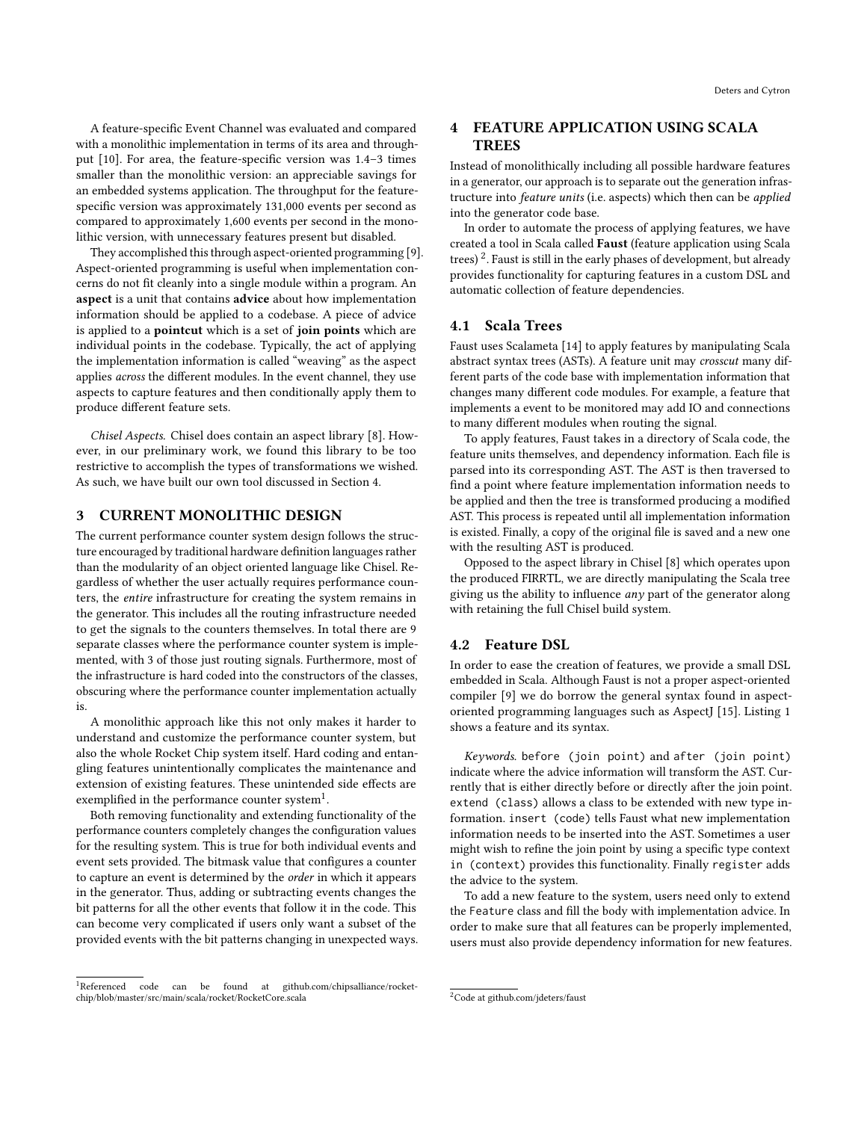A feature-specific Event Channel was evaluated and compared with a monolithic implementation in terms of its area and throughput [\[10\]](#page-4-7). For area, the feature-specific version was 1.4–3 times smaller than the monolithic version: an appreciable savings for an embedded systems application. The throughput for the featurespecific version was approximately 131,000 events per second as compared to approximately 1,600 events per second in the monolithic version, with unnecessary features present but disabled.

They accomplished this through aspect-oriented programming [\[9\]](#page-4-9). Aspect-oriented programming is useful when implementation concerns do not fit cleanly into a single module within a program. An aspect is a unit that contains advice about how implementation information should be applied to a codebase. A piece of advice is applied to a pointcut which is a set of join points which are individual points in the codebase. Typically, the act of applying the implementation information is called "weaving" as the aspect applies across the different modules. In the event channel, they use aspects to capture features and then conditionally apply them to produce different feature sets.

Chisel Aspects. Chisel does contain an aspect library [\[8\]](#page-4-10). However, in our preliminary work, we found this library to be too restrictive to accomplish the types of transformations we wished. As such, we have built our own tool discussed in Section [4.](#page-1-0)

#### 3 CURRENT MONOLITHIC DESIGN

The current performance counter system design follows the structure encouraged by traditional hardware definition languages rather than the modularity of an object oriented language like Chisel. Regardless of whether the user actually requires performance counters, the entire infrastructure for creating the system remains in the generator. This includes all the routing infrastructure needed to get the signals to the counters themselves. In total there are 9 separate classes where the performance counter system is implemented, with 3 of those just routing signals. Furthermore, most of the infrastructure is hard coded into the constructors of the classes, obscuring where the performance counter implementation actually is.

A monolithic approach like this not only makes it harder to understand and customize the performance counter system, but also the whole Rocket Chip system itself. Hard coding and entangling features unintentionally complicates the maintenance and extension of existing features. These unintended side effects are exemplified in the performance counter system $^1.$  $^1.$  $^1.$ 

Both removing functionality and extending functionality of the performance counters completely changes the configuration values for the resulting system. This is true for both individual events and event sets provided. The bitmask value that configures a counter to capture an event is determined by the order in which it appears in the generator. Thus, adding or subtracting events changes the bit patterns for all the other events that follow it in the code. This can become very complicated if users only want a subset of the provided events with the bit patterns changing in unexpected ways.

# <span id="page-1-0"></span>4 FEATURE APPLICATION USING SCALA TREES

Instead of monolithically including all possible hardware features in a generator, our approach is to separate out the generation infrastructure into feature units (i.e. aspects) which then can be applied into the generator code base.

In order to automate the process of applying features, we have created a tool in Scala called Faust (feature application using Scala trees)<sup>[2](#page-1-2)</sup>. Faust is still in the early phases of development, but already provides functionality for capturing features in a custom DSL and automatic collection of feature dependencies.

# 4.1 Scala Trees

Faust uses Scalameta [\[14\]](#page-4-11) to apply features by manipulating Scala abstract syntax trees (ASTs). A feature unit may crosscut many different parts of the code base with implementation information that changes many different code modules. For example, a feature that implements a event to be monitored may add IO and connections to many different modules when routing the signal.

To apply features, Faust takes in a directory of Scala code, the feature units themselves, and dependency information. Each file is parsed into its corresponding AST. The AST is then traversed to find a point where feature implementation information needs to be applied and then the tree is transformed producing a modified AST. This process is repeated until all implementation information is existed. Finally, a copy of the original file is saved and a new one with the resulting AST is produced.

Opposed to the aspect library in Chisel [\[8\]](#page-4-10) which operates upon the produced FIRRTL, we are directly manipulating the Scala tree giving us the ability to influence  $any$  part of the generator along with retaining the full Chisel build system.

# 4.2 Feature DSL

In order to ease the creation of features, we provide a small DSL embedded in Scala. Although Faust is not a proper aspect-oriented compiler [\[9\]](#page-4-9) we do borrow the general syntax found in aspectoriented programming languages such as AspectJ [\[15\]](#page-4-12). Listing [1](#page-2-0) shows a feature and its syntax.

Keywords. before (join point) and after (join point) indicate where the advice information will transform the AST. Currently that is either directly before or directly after the join point. extend (class) allows a class to be extended with new type information. insert (code) tells Faust what new implementation information needs to be inserted into the AST. Sometimes a user might wish to refine the join point by using a specific type context in (context) provides this functionality. Finally register adds the advice to the system.

To add a new feature to the system, users need only to extend the Feature class and fill the body with implementation advice. In order to make sure that all features can be properly implemented, users must also provide dependency information for new features.

<span id="page-1-1"></span><sup>1</sup>Referenced code can be found at github.com/chipsalliance/rocketchip/blob/master/src/main/scala/rocket/RocketCore.scala

<span id="page-1-2"></span><sup>2</sup>Code at github.com/jdeters/faust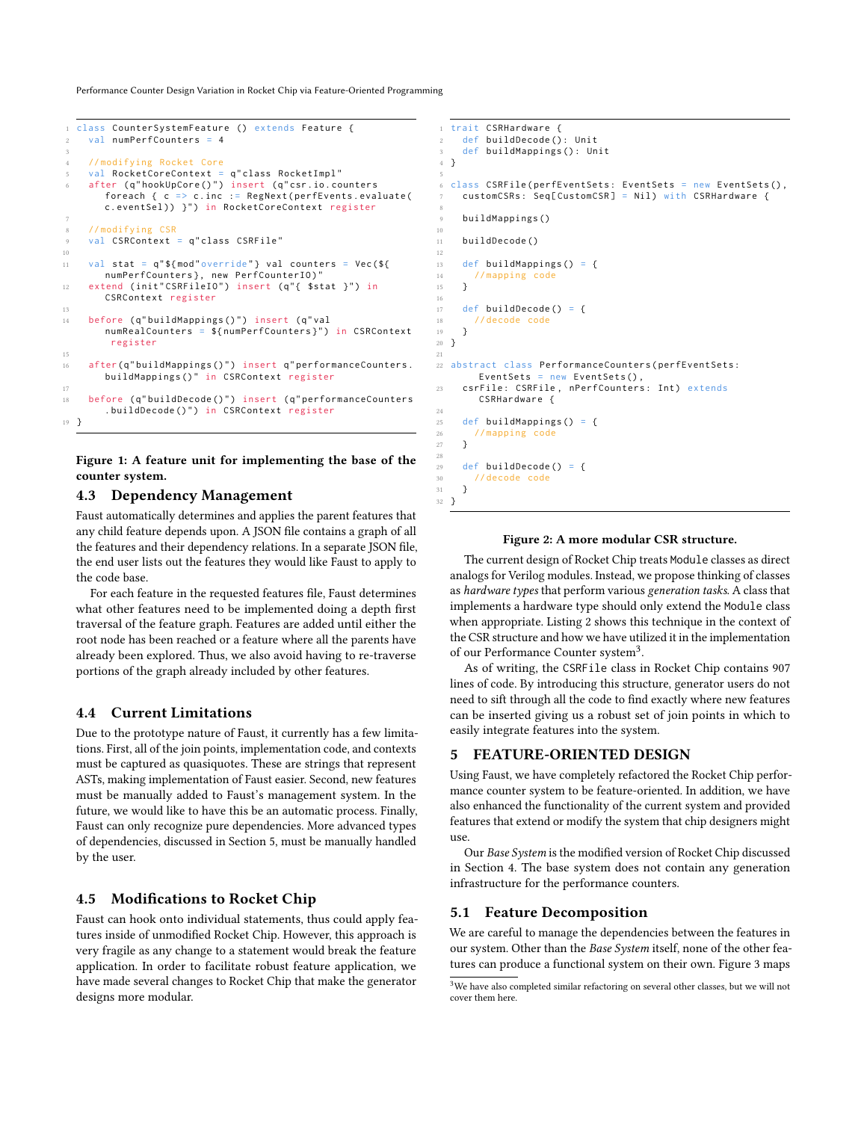Performance Counter Design Variation in Rocket Chip via Feature-Oriented Programming

```
1 class CounterSystemFeature () extends Feature {
    val numPerfCounters = 4
 3
     4 // modifying Rocket Core
    val RocketCoreContext = q" class RocketImpl"
    after (q" hookUpCore ()") insert (q" csr. io. counters
        foreach { c => c . inc := RegNext ( perfEvents . evaluate (
c . eventSel ) ) } " ) in RocketCoreContext register
 7
     8 // modifying CSR
9 val CSRContext = q" class CSRFile "
10
11 val stat = q''${mod" override" } val counters = Vec (${
       numPerfCounters }, new PerfCounterIO)"
12 extend (init"CSRFileIO") insert (q"{ $stat }") in
       CSRContext register
13
14 before (q"buildMappings()") insert (q"val
        numRealCounters = ${numPerfCounters}") in CSRContext
         register
15
16 after (q" build Mappings ()") insert q" performance Counters.
        buildMappings () " in CSRContext register
17
18 before (q"buildDecode()") insert (q"performanceCounters
        .buildDecode()") in CSRContext register
19 }
```
Figure 1: A feature unit for implementing the base of the counter system.

#### 4.3 Dependency Management

Faust automatically determines and applies the parent features that any child feature depends upon. A JSON file contains a graph of all the features and their dependency relations. In a separate JSON file, the end user lists out the features they would like Faust to apply to the code base.

For each feature in the requested features file, Faust determines what other features need to be implemented doing a depth first traversal of the feature graph. Features are added until either the root node has been reached or a feature where all the parents have already been explored. Thus, we also avoid having to re-traverse portions of the graph already included by other features.

#### 4.4 Current Limitations

Due to the prototype nature of Faust, it currently has a few limitations. First, all of the join points, implementation code, and contexts must be captured as quasiquotes. These are strings that represent ASTs, making implementation of Faust easier. Second, new features must be manually added to Faust's management system. In the future, we would like to have this be an automatic process. Finally, Faust can only recognize pure dependencies. More advanced types of dependencies, discussed in Section [5,](#page-2-1) must be manually handled by the user.

#### 4.5 Modifications to Rocket Chip

Faust can hook onto individual statements, thus could apply features inside of unmodified Rocket Chip. However, this approach is very fragile as any change to a statement would break the feature application. In order to facilitate robust feature application, we have made several changes to Rocket Chip that make the generator designs more modular.

```
1 trait CSRHardware {
2 def buildDecode (): Unit
    def buildMappings (): Unit
  4 }
 5
6 class CSRFile ( perfEventSets : EventSets = new EventSets () ,
    customCSRs: Seq[CustomCSR] = Nil) with CSRHardware {
 8
    buildMappings()
10
11 buildDecode ()
12
13 def buildMappings () = {
14 // mapping code
15 }
16
17 def buildDecode() = {
18 // decode code
19 }
20 }
21
22 abstract class PerformanceCounters ( perfEventSets :
       EventSets = new EventSets () ,
23 csrFile: CSRFile, nPerfCounters: Int) extends
       CSRHardware {
24
25 def buildMappings() = {<br>26 //mapping code
      //mapping code
27 }
28
29 def buildDecode() = {
30 // decode code
31 }
32 }
```
#### Figure 2: A more modular CSR structure.

The current design of Rocket Chip treats Module classes as direct analogs for Verilog modules. Instead, we propose thinking of classes as hardware types that perform various generation tasks. A class that implements a hardware type should only extend the Module class when appropriate. Listing [2](#page-2-2) shows this technique in the context of the CSR structure and how we have utilized it in the implementation of our Performance Counter system<sup>[3](#page-2-3)</sup>.

As of writing, the CSRFile class in Rocket Chip contains 907 lines of code. By introducing this structure, generator users do not need to sift through all the code to find exactly where new features can be inserted giving us a robust set of join points in which to easily integrate features into the system.

## <span id="page-2-1"></span>5 FEATURE-ORIENTED DESIGN

Using Faust, we have completely refactored the Rocket Chip performance counter system to be feature-oriented. In addition, we have also enhanced the functionality of the current system and provided features that extend or modify the system that chip designers might use.

Our Base System is the modified version of Rocket Chip discussed in Section [4.](#page-1-0) The base system does not contain any generation infrastructure for the performance counters.

#### 5.1 Feature Decomposition

We are careful to manage the dependencies between the features in our system. Other than the Base System itself, none of the other features can produce a functional system on their own. Figure [3](#page-3-0) maps

<span id="page-2-3"></span> ${}^{3}\mathrm{We}$  have also completed similar refactoring on several other classes, but we will not cover them here.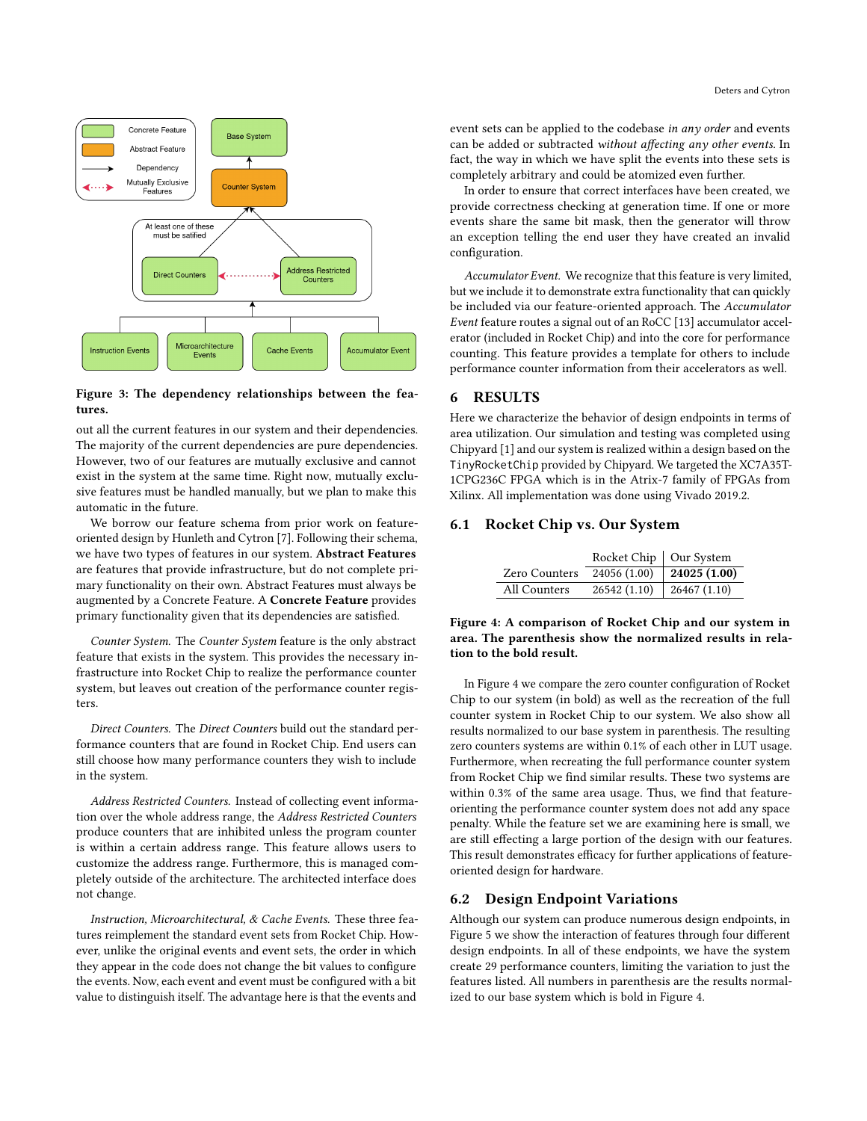<span id="page-3-0"></span>

Figure 3: The dependency relationships between the features.

out all the current features in our system and their dependencies. The majority of the current dependencies are pure dependencies. However, two of our features are mutually exclusive and cannot exist in the system at the same time. Right now, mutually exclusive features must be handled manually, but we plan to make this automatic in the future.

We borrow our feature schema from prior work on featureoriented design by Hunleth and Cytron [\[7\]](#page-4-6). Following their schema, we have two types of features in our system. Abstract Features are features that provide infrastructure, but do not complete primary functionality on their own. Abstract Features must always be augmented by a Concrete Feature. A Concrete Feature provides primary functionality given that its dependencies are satisfied.

Counter System. The Counter System feature is the only abstract feature that exists in the system. This provides the necessary infrastructure into Rocket Chip to realize the performance counter system, but leaves out creation of the performance counter registers.

Direct Counters. The Direct Counters build out the standard performance counters that are found in Rocket Chip. End users can still choose how many performance counters they wish to include in the system.

Address Restricted Counters. Instead of collecting event information over the whole address range, the Address Restricted Counters produce counters that are inhibited unless the program counter is within a certain address range. This feature allows users to customize the address range. Furthermore, this is managed completely outside of the architecture. The architected interface does not change.

Instruction, Microarchitectural, & Cache Events. These three features reimplement the standard event sets from Rocket Chip. However, unlike the original events and event sets, the order in which they appear in the code does not change the bit values to configure the events. Now, each event and event must be configured with a bit value to distinguish itself. The advantage here is that the events and

event sets can be applied to the codebase in any order and events can be added or subtracted without affecting any other events. In fact, the way in which we have split the events into these sets is completely arbitrary and could be atomized even further.

In order to ensure that correct interfaces have been created, we provide correctness checking at generation time. If one or more events share the same bit mask, then the generator will throw an exception telling the end user they have created an invalid configuration.

Accumulator Event. We recognize that this feature is very limited, but we include it to demonstrate extra functionality that can quickly be included via our feature-oriented approach. The Accumulator Event feature routes a signal out of an RoCC [\[13\]](#page-4-13) accumulator accelerator (included in Rocket Chip) and into the core for performance counting. This feature provides a template for others to include performance counter information from their accelerators as well.

# 6 RESULTS

Here we characterize the behavior of design endpoints in terms of area utilization. Our simulation and testing was completed using Chipyard [\[1\]](#page-4-14) and our system is realized within a design based on the TinyRocketChip provided by Chipyard. We targeted the XC7A35T-1CPG236C FPGA which is in the Atrix-7 family of FPGAs from Xilinx. All implementation was done using Vivado 2019.2.

# <span id="page-3-1"></span>6.1 Rocket Chip vs. Our System

|               | Rocket Chip   Our System |                      |
|---------------|--------------------------|----------------------|
| Zero Counters | 24056 (1.00)             | $\vert$ 24025 (1.00) |
| All Counters  | 26542 (1.10)             | $\vert$ 26467 (1.10) |

Figure 4: A comparison of Rocket Chip and our system in area. The parenthesis show the normalized results in relation to the bold result.

In Figure [4](#page-3-1) we compare the zero counter configuration of Rocket Chip to our system (in bold) as well as the recreation of the full counter system in Rocket Chip to our system. We also show all results normalized to our base system in parenthesis. The resulting zero counters systems are within 0.1% of each other in LUT usage. Furthermore, when recreating the full performance counter system from Rocket Chip we find similar results. These two systems are within 0.3% of the same area usage. Thus, we find that featureorienting the performance counter system does not add any space penalty. While the feature set we are examining here is small, we are still effecting a large portion of the design with our features. This result demonstrates efficacy for further applications of featureoriented design for hardware.

# 6.2 Design Endpoint Variations

Although our system can produce numerous design endpoints, in Figure [5](#page-4-15) we show the interaction of features through four different design endpoints. In all of these endpoints, we have the system create 29 performance counters, limiting the variation to just the features listed. All numbers in parenthesis are the results normalized to our base system which is bold in Figure [4.](#page-3-1)